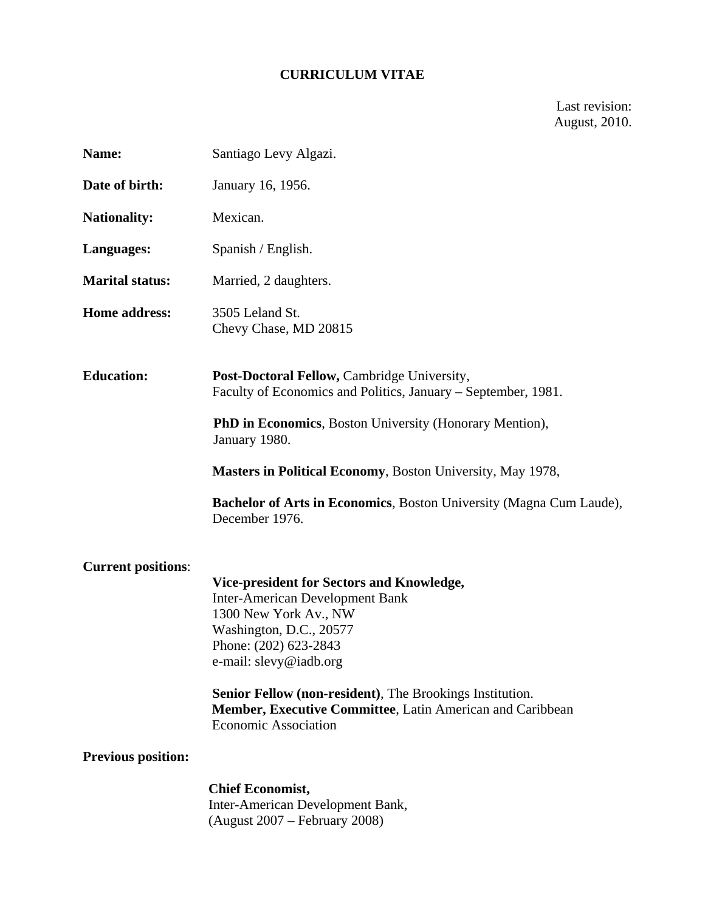## **CURRICULUM VITAE**

Last revision: August, 2010.

| Name:                     | Santiago Levy Algazi.                                                                                                                                                                      |
|---------------------------|--------------------------------------------------------------------------------------------------------------------------------------------------------------------------------------------|
| Date of birth:            | January 16, 1956.                                                                                                                                                                          |
| <b>Nationality:</b>       | Mexican.                                                                                                                                                                                   |
| Languages:                | Spanish / English.                                                                                                                                                                         |
| <b>Marital status:</b>    | Married, 2 daughters.                                                                                                                                                                      |
| <b>Home address:</b>      | 3505 Leland St.<br>Chevy Chase, MD 20815                                                                                                                                                   |
| <b>Education:</b>         | Post-Doctoral Fellow, Cambridge University,<br>Faculty of Economics and Politics, January – September, 1981.                                                                               |
|                           | <b>PhD in Economics</b> , Boston University (Honorary Mention),<br>January 1980.                                                                                                           |
|                           | Masters in Political Economy, Boston University, May 1978,                                                                                                                                 |
|                           | Bachelor of Arts in Economics, Boston University (Magna Cum Laude),<br>December 1976.                                                                                                      |
| <b>Current positions:</b> | Vice-president for Sectors and Knowledge,<br><b>Inter-American Development Bank</b><br>1300 New York Av., NW<br>Washington, D.C., 20577<br>Phone: (202) 623-2843<br>e-mail: slevy@iadb.org |
|                           | Senior Fellow (non-resident), The Brookings Institution.<br>Member, Executive Committee, Latin American and Caribbean<br><b>Economic Association</b>                                       |
| <b>Previous position:</b> |                                                                                                                                                                                            |
|                           | <b>Chief Economist,</b><br>Inter-American Development Bank,<br>(August 2007 – February 2008)                                                                                               |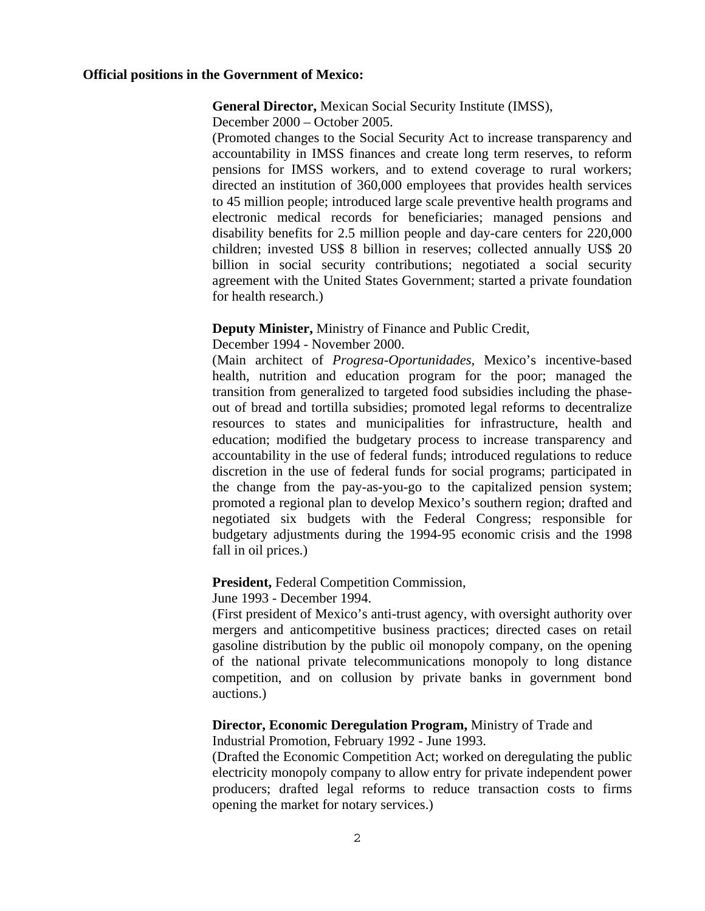#### **Official positions in the Government of Mexico:**

#### **General Director,** Mexican Social Security Institute (IMSS),

December 2000 – October 2005.

(Promoted changes to the Social Security Act to increase transparency and accountability in IMSS finances and create long term reserves, to reform pensions for IMSS workers, and to extend coverage to rural workers; directed an institution of 360,000 employees that provides health services to 45 million people; introduced large scale preventive health programs and electronic medical records for beneficiaries; managed pensions and disability benefits for 2.5 million people and day-care centers for 220,000 children; invested US\$ 8 billion in reserves; collected annually US\$ 20 billion in social security contributions; negotiated a social security agreement with the United States Government; started a private foundation for health research.)

#### **Deputy Minister,** Ministry of Finance and Public Credit,

December 1994 - November 2000.

(Main architect of *Progresa-Oportunidades,* Mexico's incentive-based health, nutrition and education program for the poor; managed the transition from generalized to targeted food subsidies including the phaseout of bread and tortilla subsidies; promoted legal reforms to decentralize resources to states and municipalities for infrastructure, health and education; modified the budgetary process to increase transparency and accountability in the use of federal funds; introduced regulations to reduce discretion in the use of federal funds for social programs; participated in the change from the pay-as-you-go to the capitalized pension system; promoted a regional plan to develop Mexico's southern region; drafted and negotiated six budgets with the Federal Congress; responsible for budgetary adjustments during the 1994-95 economic crisis and the 1998 fall in oil prices.)

#### **President,** Federal Competition Commission,

June 1993 - December 1994.

(First president of Mexico's anti-trust agency, with oversight authority over mergers and anticompetitive business practices; directed cases on retail gasoline distribution by the public oil monopoly company, on the opening of the national private telecommunications monopoly to long distance competition, and on collusion by private banks in government bond auctions.)

# **Director, Economic Deregulation Program,** Ministry of Trade and

Industrial Promotion, February 1992 - June 1993.

(Drafted the Economic Competition Act; worked on deregulating the public electricity monopoly company to allow entry for private independent power producers; drafted legal reforms to reduce transaction costs to firms opening the market for notary services.)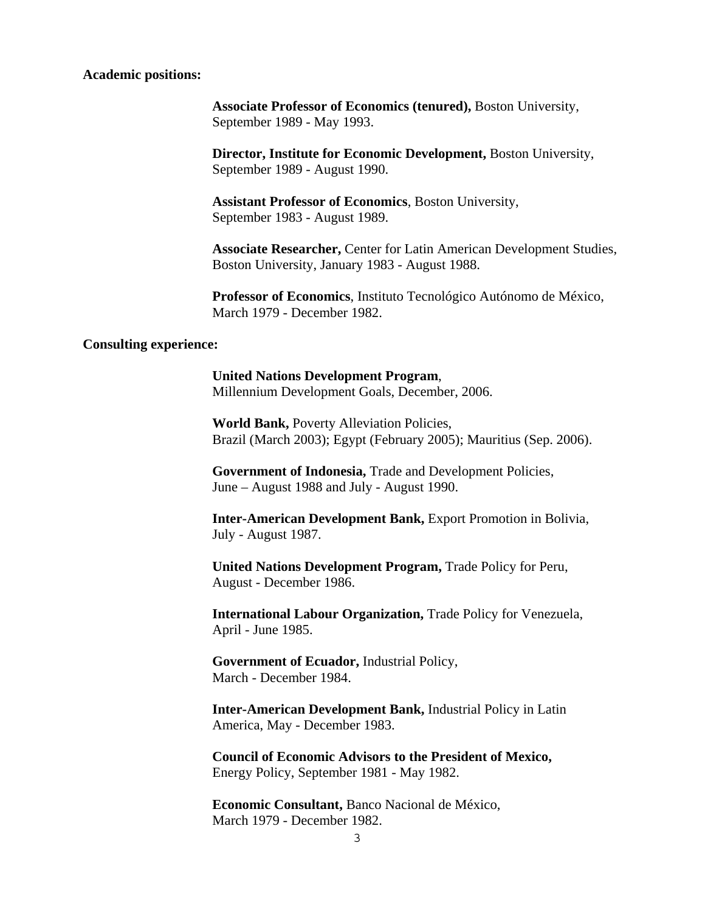#### **Academic positions:**

**Associate Professor of Economics (tenured),** Boston University, September 1989 - May 1993.

**Director, Institute for Economic Development,** Boston University, September 1989 - August 1990.

**Assistant Professor of Economics**, Boston University, September 1983 - August 1989.

**Associate Researcher,** Center for Latin American Development Studies, Boston University, January 1983 - August 1988.

**Professor of Economics**, Instituto Tecnológico Autónomo de México, March 1979 - December 1982.

#### **Consulting experience:**

**United Nations Development Program**, Millennium Development Goals, December, 2006.

**World Bank,** Poverty Alleviation Policies, Brazil (March 2003); Egypt (February 2005); Mauritius (Sep. 2006).

**Government of Indonesia,** Trade and Development Policies, June – August 1988 and July - August 1990.

**Inter-American Development Bank,** Export Promotion in Bolivia, July - August 1987.

**United Nations Development Program,** Trade Policy for Peru, August - December 1986.

**International Labour Organization,** Trade Policy for Venezuela, April - June 1985.

**Government of Ecuador,** Industrial Policy, March - December 1984.

**Inter-American Development Bank,** Industrial Policy in Latin America, May - December 1983.

**Council of Economic Advisors to the President of Mexico,**  Energy Policy, September 1981 - May 1982.

**Economic Consultant,** Banco Nacional de México, March 1979 - December 1982.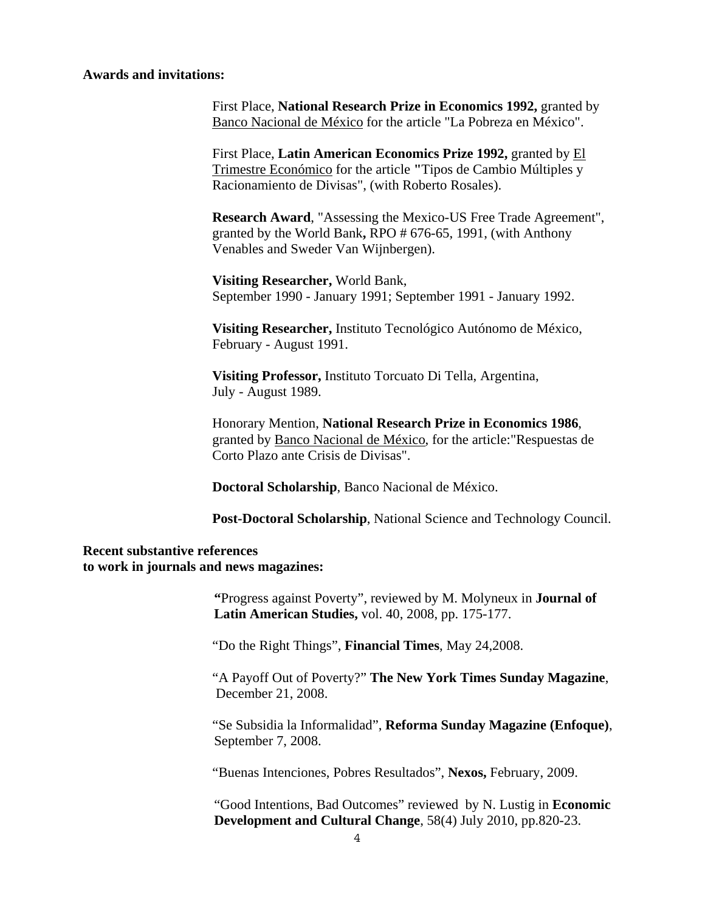#### **Awards and invitations:**

First Place, **National Research Prize in Economics 1992,** granted by Banco Nacional de México for the article "La Pobreza en México".

First Place, **Latin American Economics Prize 1992,** granted by El Trimestre Económico for the article **"**Tipos de Cambio Múltiples y Racionamiento de Divisas", (with Roberto Rosales).

**Research Award**, "Assessing the Mexico-US Free Trade Agreement", granted by the World Bank**,** RPO # 676-65, 1991, (with Anthony Venables and Sweder Van Wijnbergen).

**Visiting Researcher,** World Bank, September 1990 - January 1991; September 1991 - January 1992.

**Visiting Researcher,** Instituto Tecnológico Autónomo de México, February - August 1991.

**Visiting Professor,** Instituto Torcuato Di Tella, Argentina, July - August 1989.

Honorary Mention, **National Research Prize in Economics 1986**, granted by Banco Nacional de México, for the article:"Respuestas de Corto Plazo ante Crisis de Divisas".

**Doctoral Scholarship**, Banco Nacional de México.

**Post-Doctoral Scholarship**, National Science and Technology Council.

#### **Recent substantive references to work in journals and news magazines:**

 **"**Progress against Poverty", reviewed by M. Molyneux in **Journal of Latin American Studies,** vol. 40, 2008, pp. 175-177.

"Do the Right Things", **Financial Times**, May 24,2008.

"A Payoff Out of Poverty?" **The New York Times Sunday Magazine**, December 21, 2008.

"Se Subsidia la Informalidad", **Reforma Sunday Magazine (Enfoque)**, September 7, 2008.

"Buenas Intenciones, Pobres Resultados", **Nexos,** February, 2009.

 "Good Intentions, Bad Outcomes" reviewed by N. Lustig in **Economic Development and Cultural Change**, 58(4) July 2010, pp.820-23.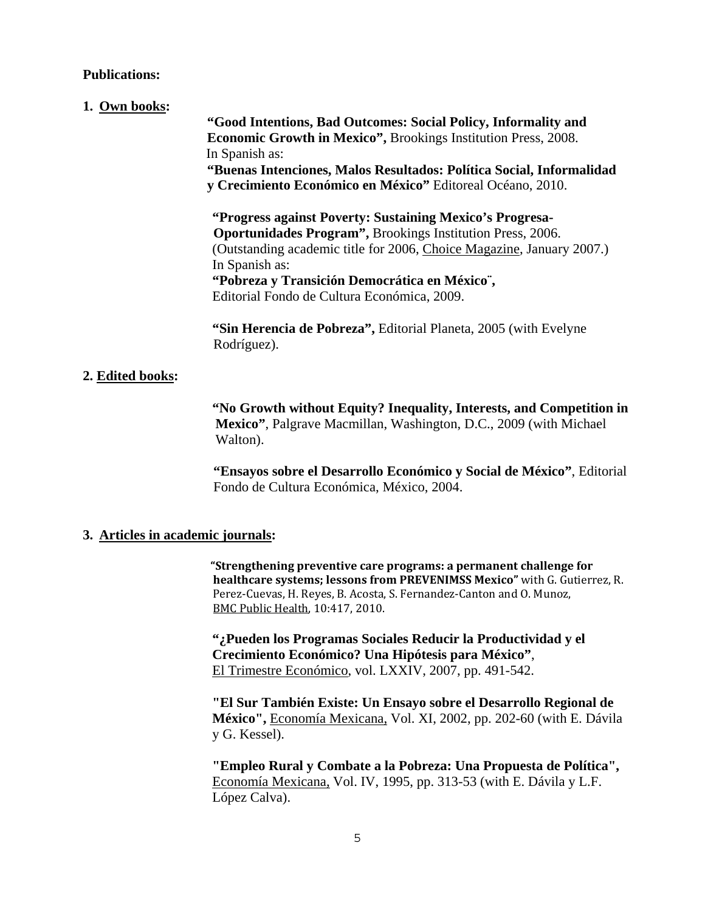#### **Publications:**

#### **1. Own books:**

 **"Good Intentions, Bad Outcomes: Social Policy, Informality and Economic Growth in Mexico",** Brookings Institution Press, 2008. In Spanish as: **"Buenas Intenciones, Malos Resultados: Política Social, Informalidad y Crecimiento Económico en México"** Editoreal Océano, 2010.

 **"Progress against Poverty: Sustaining Mexico's Progresa-Oportunidades Program",** Brookings Institution Press, 2006. (Outstanding academic title for 2006, Choice Magazine, January 2007.) In Spanish as: **"Pobreza y Transición Democrática en México¨,**  Editorial Fondo de Cultura Económica, 2009.

 **"Sin Herencia de Pobreza",** Editorial Planeta, 2005 (with Evelyne Rodríguez).

## **2. Edited books:**

 **"No Growth without Equity? Inequality, Interests, and Competition in Mexico"**, Palgrave Macmillan, Washington, D.C., 2009 (with Michael Walton).

**"Ensayos sobre el Desarrollo Económico y Social de México"**, Editorial Fondo de Cultura Económica, México, 2004.

### **3. Articles in academic journals:**

 **"Strengthening preventive care programs: a permanent challenge for healthcare systems; lessons from PREVENIMSS Mexico"** with G. Gutierrez, R. Perez-Cuevas, H. Reyes, B. Acosta, S. Fernandez-Canton and O. Munoz, BMC Public Health, 10:417, 2010.

 **"¿Pueden los Programas Sociales Reducir la Productividad y el Crecimiento Económico? Una Hipótesis para México"**, El Trimestre Económico, vol. LXXIV, 2007, pp. 491-542.

**"El Sur También Existe: Un Ensayo sobre el Desarrollo Regional de México",** Economía Mexicana, Vol. XI, 2002, pp. 202-60 (with E. Dávila y G. Kessel).

**"Empleo Rural y Combate a la Pobreza: Una Propuesta de Política",**  Economía Mexicana, Vol. IV, 1995, pp. 313-53 (with E. Dávila y L.F. López Calva).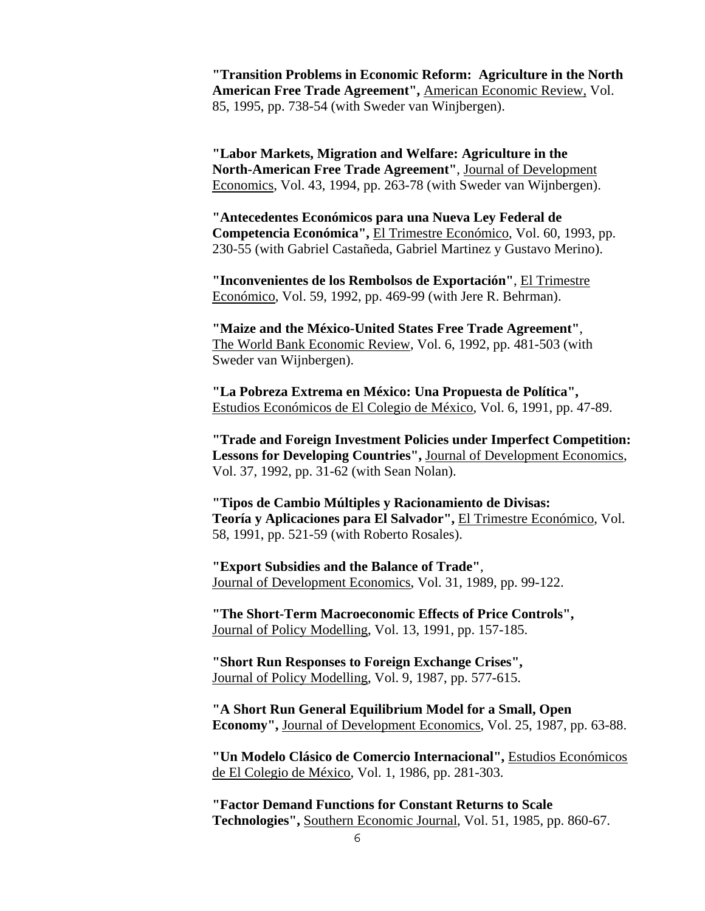**"Transition Problems in Economic Reform: Agriculture in the North American Free Trade Agreement",** American Economic Review, Vol. 85, 1995, pp. 738-54 (with Sweder van Winjbergen).

**"Labor Markets, Migration and Welfare: Agriculture in the North-American Free Trade Agreement"**, Journal of Development Economics, Vol. 43, 1994, pp. 263-78 (with Sweder van Wijnbergen).

**"Antecedentes Económicos para una Nueva Ley Federal de Competencia Económica",** El Trimestre Económico, Vol. 60, 1993, pp. 230-55 (with Gabriel Castañeda, Gabriel Martinez y Gustavo Merino).

**"Inconvenientes de los Rembolsos de Exportación"**, El Trimestre Económico, Vol. 59, 1992, pp. 469-99 (with Jere R. Behrman).

**"Maize and the México-United States Free Trade Agreement"**, The World Bank Economic Review, Vol. 6, 1992, pp. 481-503 (with Sweder van Wijnbergen).

**"La Pobreza Extrema en México: Una Propuesta de Política",** Estudios Económicos de El Colegio de México, Vol. 6, 1991, pp. 47-89.

**"Trade and Foreign Investment Policies under Imperfect Competition: Lessons for Developing Countries",** Journal of Development Economics, Vol. 37, 1992, pp. 31-62 (with Sean Nolan).

**"Tipos de Cambio Múltiples y Racionamiento de Divisas: Teoría y Aplicaciones para El Salvador",** El Trimestre Económico, Vol. 58, 1991, pp. 521-59 (with Roberto Rosales).

**"Export Subsidies and the Balance of Trade"**, Journal of Development Economics, Vol. 31, 1989, pp. 99-122.

**"The Short-Term Macroeconomic Effects of Price Controls",** Journal of Policy Modelling, Vol. 13, 1991, pp. 157-185.

**"Short Run Responses to Foreign Exchange Crises",** Journal of Policy Modelling, Vol. 9, 1987, pp. 577-615.

**"A Short Run General Equilibrium Model for a Small, Open Economy",** Journal of Development Economics, Vol. 25, 1987, pp. 63-88.

**"Un Modelo Clásico de Comercio Internacional",** Estudios Económicos de El Colegio de México, Vol. 1, 1986, pp. 281-303.

**"Factor Demand Functions for Constant Returns to Scale Technologies",** Southern Economic Journal, Vol. 51, 1985, pp. 860-67.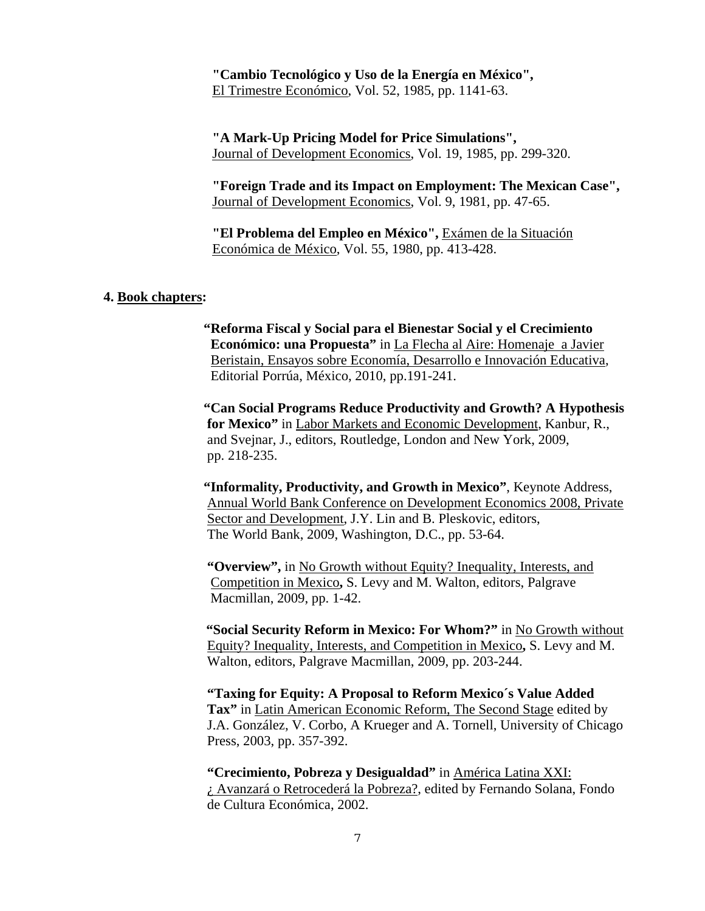**"Cambio Tecnológico y Uso de la Energía en México",** El Trimestre Económico, Vol. 52, 1985, pp. 1141-63.

**"A Mark-Up Pricing Model for Price Simulations",** Journal of Development Economics, Vol. 19, 1985, pp. 299-320.

**"Foreign Trade and its Impact on Employment: The Mexican Case",** Journal of Development Economics, Vol. 9, 1981, pp. 47-65.

**"El Problema del Empleo en México",** Exámen de la Situación Económica de México, Vol. 55, 1980, pp. 413-428.

#### **4. Book chapters:**

 **"Reforma Fiscal y Social para el Bienestar Social y el Crecimiento Económico: una Propuesta"** in La Flecha al Aire: Homenaje a Javier Beristain, Ensayos sobre Economía, Desarrollo e Innovación Educativa, Editorial Porrúa, México, 2010, pp.191-241.

 **"Can Social Programs Reduce Productivity and Growth? A Hypothesis for Mexico"** in Labor Markets and Economic Development, Kanbur, R., and Svejnar, J., editors, Routledge, London and New York, 2009, pp. 218-235.

 **"Informality, Productivity, and Growth in Mexico"**, Keynote Address, Annual World Bank Conference on Development Economics 2008, Private Sector and Development, J.Y. Lin and B. Pleskovic, editors, The World Bank, 2009, Washington, D.C., pp. 53-64.

 **"Overview",** in No Growth without Equity? Inequality, Interests, and Competition in Mexico**,** S. Levy and M. Walton, editors, Palgrave Macmillan, 2009, pp. 1-42.

 **"Social Security Reform in Mexico: For Whom?"** in No Growth without Equity? Inequality, Interests, and Competition in Mexico**,** S. Levy and M. Walton, editors, Palgrave Macmillan, 2009, pp. 203-244.

**"Taxing for Equity: A Proposal to Reform Mexico´s Value Added**  Tax" in Latin American Economic Reform, The Second Stage edited by J.A. González, V. Corbo, A Krueger and A. Tornell, University of Chicago Press, 2003, pp. 357-392.

**"Crecimiento, Pobreza y Desigualdad"** in América Latina XXI: ¿ Avanzará o Retrocederá la Pobreza?, edited by Fernando Solana, Fondo de Cultura Económica, 2002.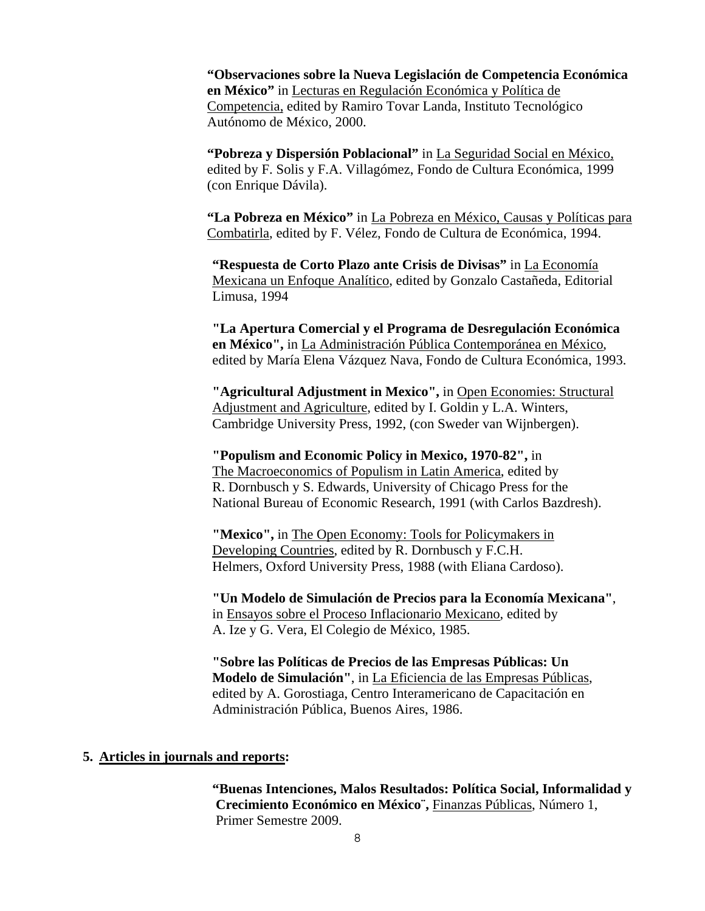**"Observaciones sobre la Nueva Legislación de Competencia Económica en México"** in Lecturas en Regulación Económica y Política de Competencia, edited by Ramiro Tovar Landa, Instituto Tecnológico Autónomo de México, 2000.

**"Pobreza y Dispersión Poblacional"** in La Seguridad Social en México, edited by F. Solis y F.A. Villagómez, Fondo de Cultura Económica, 1999 (con Enrique Dávila).

**"La Pobreza en México"** in La Pobreza en México, Causas y Políticas para Combatirla, edited by F. Vélez, Fondo de Cultura de Económica, 1994.

**"Respuesta de Corto Plazo ante Crisis de Divisas"** in La Economía Mexicana un Enfoque Analítico, edited by Gonzalo Castañeda, Editorial Limusa, 1994

**"La Apertura Comercial y el Programa de Desregulación Económica en México",** in La Administración Pública Contemporánea en México, edited by María Elena Vázquez Nava, Fondo de Cultura Económica, 1993.

**"Agricultural Adjustment in Mexico",** in Open Economies: Structural Adjustment and Agriculture, edited by I. Goldin y L.A. Winters, Cambridge University Press, 1992, (con Sweder van Wijnbergen).

**"Populism and Economic Policy in Mexico, 1970-82",** in The Macroeconomics of Populism in Latin America, edited by R. Dornbusch y S. Edwards, University of Chicago Press for the National Bureau of Economic Research, 1991 (with Carlos Bazdresh).

**"Mexico",** in The Open Economy: Tools for Policymakers in Developing Countries, edited by R. Dornbusch y F.C.H. Helmers, Oxford University Press, 1988 (with Eliana Cardoso).

**"Un Modelo de Simulación de Precios para la Economía Mexicana"**, in Ensayos sobre el Proceso Inflacionario Mexicano, edited by A. Ize y G. Vera, El Colegio de México, 1985.

**"Sobre las Políticas de Precios de las Empresas Públicas: Un Modelo de Simulación"**, in La Eficiencia de las Empresas Públicas, edited by A. Gorostiaga, Centro Interamericano de Capacitación en Administración Pública, Buenos Aires, 1986.

#### **5. Articles in journals and reports:**

 **"Buenas Intenciones, Malos Resultados: Política Social, Informalidad y Crecimiento Económico en México¨,** Finanzas Públicas, Número 1, Primer Semestre 2009.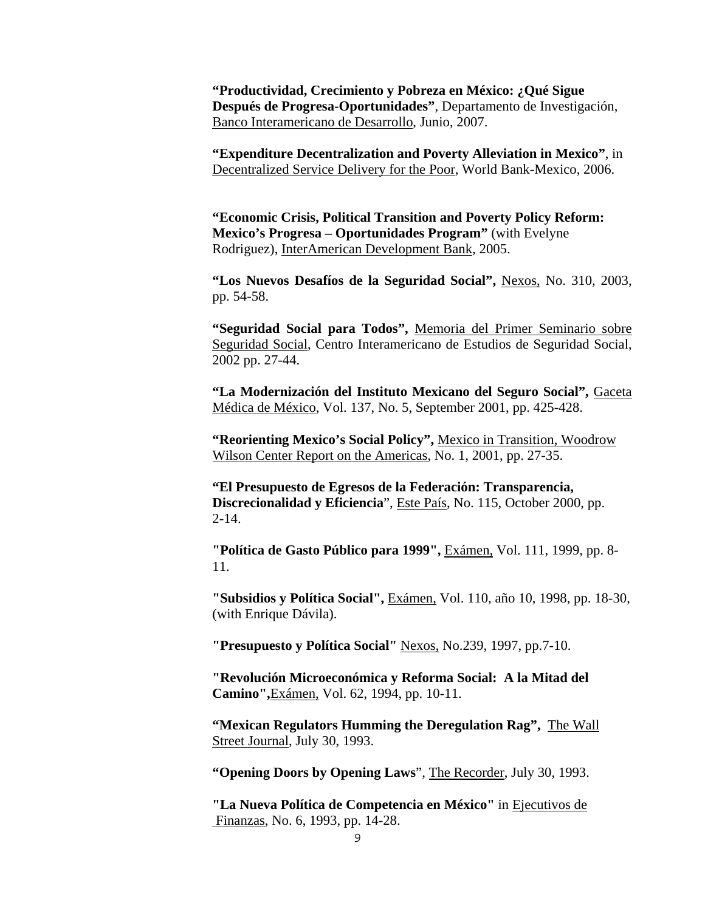**"Productividad, Crecimiento y Pobreza en México: ¿Qué Sigue Después de Progresa-Oportunidades"**, Departamento de Investigación, Banco Interamericano de Desarrollo, Junio, 2007.

**"Expenditure Decentralization and Poverty Alleviation in Mexico"**, in Decentralized Service Delivery for the Poor, World Bank-Mexico, 2006.

**"Economic Crisis, Political Transition and Poverty Policy Reform: Mexico's Progresa – Oportunidades Program"** (with Evelyne Rodriguez), InterAmerican Development Bank, 2005.

**"Los Nuevos Desafíos de la Seguridad Social",** Nexos, No. 310, 2003, pp. 54-58.

**"Seguridad Social para Todos",** Memoria del Primer Seminario sobre Seguridad Social, Centro Interamericano de Estudios de Seguridad Social, 2002 pp. 27-44.

**"La Modernización del Instituto Mexicano del Seguro Social",** Gaceta Médica de México, Vol. 137, No. 5, September 2001, pp. 425-428.

**"Reorienting Mexico's Social Policy",** Mexico in Transition, Woodrow Wilson Center Report on the Americas, No. 1, 2001, pp. 27-35.

**"El Presupuesto de Egresos de la Federación: Transparencia, Discrecionalidad y Eficiencia**", Este País, No. 115, October 2000, pp. 2-14.

**"Política de Gasto Público para 1999",** Exámen, Vol. 111, 1999, pp. 8- 11.

**"Subsidios y Política Social",** Exámen, Vol. 110, año 10, 1998, pp. 18-30, (with Enrique Dávila).

**"Presupuesto y Política Social"** Nexos, No.239, 1997, pp.7-10.

**"Revolución Microeconómica y Reforma Social: A la Mitad del Camino",**Exámen, Vol. 62, 1994, pp. 10-11.

**"Mexican Regulators Humming the Deregulation Rag",** The Wall Street Journal, July 30, 1993.

**"Opening Doors by Opening Laws**", The Recorder, July 30, 1993.

**"La Nueva Política de Competencia en México"** in Ejecutivos de Finanzas, No. 6, 1993, pp. 14-28.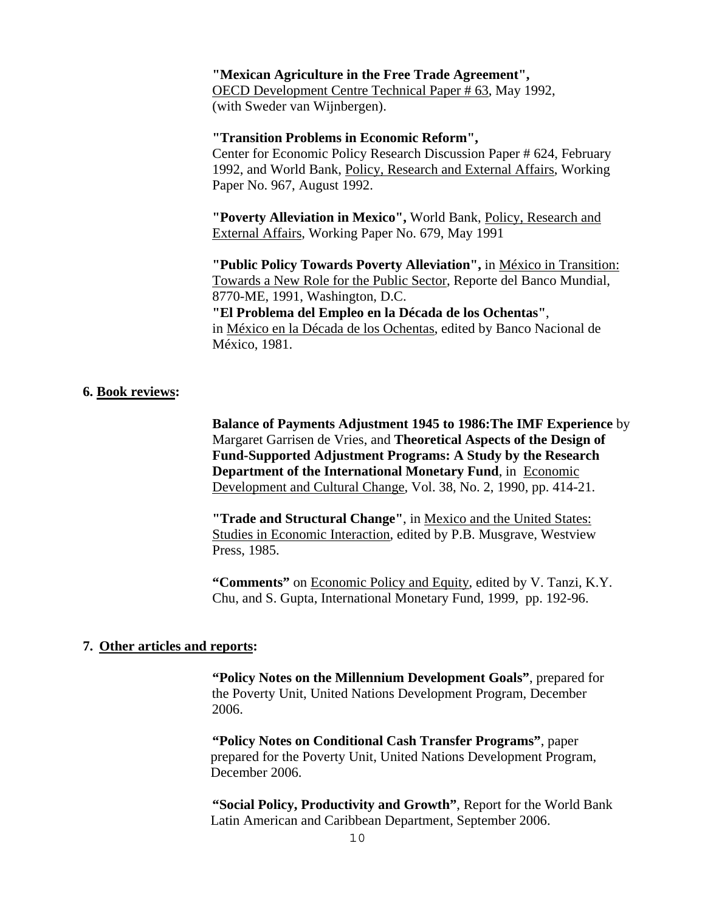#### **"Mexican Agriculture in the Free Trade Agreement",**

OECD Development Centre Technical Paper # 63, May 1992, (with Sweder van Wijnbergen).

#### **"Transition Problems in Economic Reform",**

Center for Economic Policy Research Discussion Paper # 624, February 1992, and World Bank, Policy, Research and External Affairs, Working Paper No. 967, August 1992.

**"Poverty Alleviation in Mexico",** World Bank, Policy, Research and External Affairs, Working Paper No. 679, May 1991

**"Public Policy Towards Poverty Alleviation",** in México in Transition: Towards a New Role for the Public Sector, Reporte del Banco Mundial, 8770-ME, 1991, Washington, D.C. **"El Problema del Empleo en la Década de los Ochentas"**, in México en la Década de los Ochentas, edited by Banco Nacional de México, 1981.

#### **6. Book reviews:**

**Balance of Payments Adjustment 1945 to 1986:The IMF Experience** by Margaret Garrisen de Vries, and **Theoretical Aspects of the Design of Fund-Supported Adjustment Programs: A Study by the Research Department of the International Monetary Fund**, in Economic Development and Cultural Change, Vol. 38, No. 2, 1990, pp. 414-21.

**"Trade and Structural Change"**, in Mexico and the United States: Studies in Economic Interaction, edited by P.B. Musgrave, Westview Press, 1985.

**"Comments"** on Economic Policy and Equity, edited by V. Tanzi, K.Y. Chu, and S. Gupta, International Monetary Fund, 1999, pp. 192-96.

#### **7. Other articles and reports:**

**"Policy Notes on the Millennium Development Goals"**, prepared for the Poverty Unit, United Nations Development Program, December 2006.

**"Policy Notes on Conditional Cash Transfer Programs"**, paper prepared for the Poverty Unit, United Nations Development Program, December 2006.

**"Social Policy, Productivity and Growth"**, Report for the World Bank Latin American and Caribbean Department, September 2006.